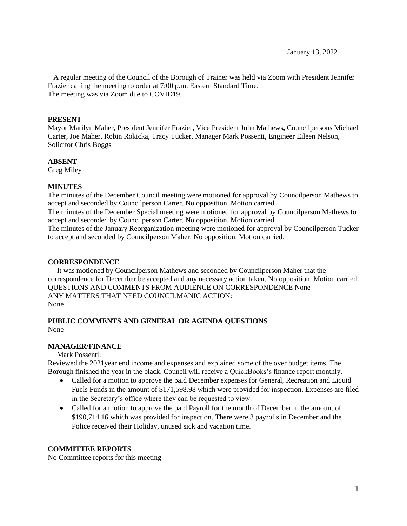A regular meeting of the Council of the Borough of Trainer was held via Zoom with President Jennifer Frazier calling the meeting to order at 7:00 p.m. Eastern Standard Time. The meeting was via Zoom due to COVID19.

#### **PRESENT**

Mayor Marilyn Maher, President Jennifer Frazier, Vice President John Mathews**,** Councilpersons Michael Carter, Joe Maher, Robin Rokicka, Tracy Tucker, Manager Mark Possenti, Engineer Eileen Nelson, Solicitor Chris Boggs

#### **ABSENT**

Greg Miley

## **MINUTES**

The minutes of the December Council meeting were motioned for approval by Councilperson Mathews to accept and seconded by Councilperson Carter. No opposition. Motion carried.

The minutes of the December Special meeting were motioned for approval by Councilperson Mathews to accept and seconded by Councilperson Carter. No opposition. Motion carried.

The minutes of the January Reorganization meeting were motioned for approval by Councilperson Tucker to accept and seconded by Councilperson Maher. No opposition. Motion carried.

#### **CORRESPONDENCE**

 It was motioned by Councilperson Mathews and seconded by Councilperson Maher that the correspondence for December be accepted and any necessary action taken. No opposition. Motion carried. QUESTIONS AND COMMENTS FROM AUDIENCE ON CORRESPONDENCE None ANY MATTERS THAT NEED COUNCILMANIC ACTION: None

#### **PUBLIC COMMENTS AND GENERAL OR AGENDA QUESTIONS** None

#### **MANAGER/FINANCE**

Mark Possenti:

Reviewed the 2021year end income and expenses and explained some of the over budget items. The Borough finished the year in the black. Council will receive a QuickBooks's finance report monthly.

- Called for a motion to approve the paid December expenses for General, Recreation and Liquid Fuels Funds in the amount of \$171,598.98 which were provided for inspection. Expenses are filed in the Secretary's office where they can be requested to view.
- Called for a motion to approve the paid Payroll for the month of December in the amount of \$190,714.16 which was provided for inspection. There were 3 payrolls in December and the Police received their Holiday, unused sick and vacation time.

## **COMMITTEE REPORTS**

No Committee reports for this meeting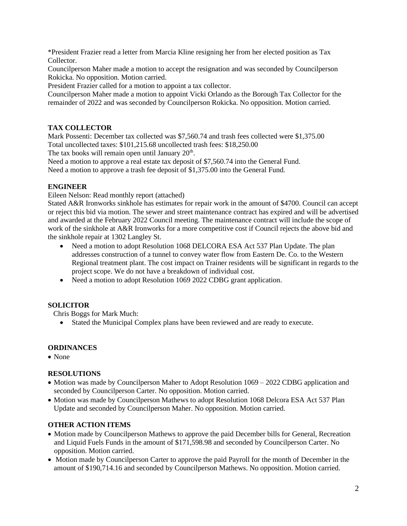\*President Frazier read a letter from Marcia Kline resigning her from her elected position as Tax Collector.

Councilperson Maher made a motion to accept the resignation and was seconded by Councilperson Rokicka. No opposition. Motion carried.

President Frazier called for a motion to appoint a tax collector.

Councilperson Maher made a motion to appoint Vicki Orlando as the Borough Tax Collector for the remainder of 2022 and was seconded by Councilperson Rokicka. No opposition. Motion carried.

## **TAX COLLECTOR**

Mark Possenti: December tax collected was \$7,560.74 and trash fees collected were \$1,375.00 Total uncollected taxes: \$101,215.68 uncollected trash fees: \$18,250.00

The tax books will remain open until January  $20<sup>th</sup>$ .

Need a motion to approve a real estate tax deposit of \$7,560.74 into the General Fund.

Need a motion to approve a trash fee deposit of \$1,375.00 into the General Fund.

## **ENGINEER**

Eileen Nelson: Read monthly report (attached)

Stated A&R Ironworks sinkhole has estimates for repair work in the amount of \$4700. Council can accept or reject this bid via motion. The sewer and street maintenance contract has expired and will be advertised and awarded at the February 2022 Council meeting. The maintenance contract will include the scope of work of the sinkhole at A&R Ironworks for a more competitive cost if Council rejects the above bid and the sinkhole repair at 1302 Langley St.

- Need a motion to adopt Resolution 1068 DELCORA ESA Act 537 Plan Update. The plan addresses construction of a tunnel to convey water flow from Eastern De. Co. to the Western Regional treatment plant. The cost impact on Trainer residents will be significant in regards to the project scope. We do not have a breakdown of individual cost.
- Need a motion to adopt Resolution 1069 2022 CDBG grant application.

## **SOLICITOR**

Chris Boggs for Mark Much:

• Stated the Municipal Complex plans have been reviewed and are ready to execute.

## **ORDINANCES**

• None

## **RESOLUTIONS**

- Motion was made by Councilperson Maher to Adopt Resolution 1069 2022 CDBG application and seconded by Councilperson Carter. No opposition. Motion carried.
- Motion was made by Councilperson Mathews to adopt Resolution 1068 Delcora ESA Act 537 Plan Update and seconded by Councilperson Maher. No opposition. Motion carried.

## **OTHER ACTION ITEMS**

- Motion made by Councilperson Mathews to approve the paid December bills for General, Recreation and Liquid Fuels Funds in the amount of \$171,598.98 and seconded by Councilperson Carter. No opposition. Motion carried.
- Motion made by Councilperson Carter to approve the paid Payroll for the month of December in the amount of \$190,714.16 and seconded by Councilperson Mathews. No opposition. Motion carried.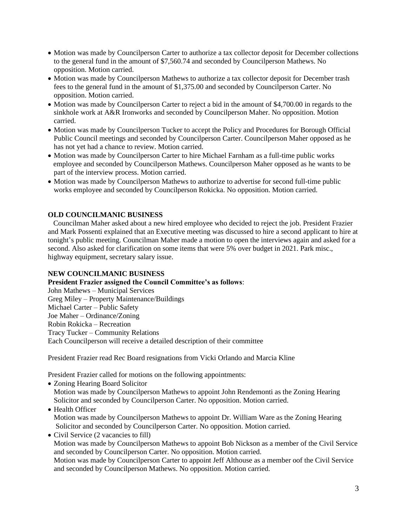- Motion was made by Councilperson Carter to authorize a tax collector deposit for December collections to the general fund in the amount of \$7,560.74 and seconded by Councilperson Mathews. No opposition. Motion carried.
- Motion was made by Councilperson Mathews to authorize a tax collector deposit for December trash fees to the general fund in the amount of \$1,375.00 and seconded by Councilperson Carter. No opposition. Motion carried.
- Motion was made by Councilperson Carter to reject a bid in the amount of \$4,700.00 in regards to the sinkhole work at A&R Ironworks and seconded by Councilperson Maher. No opposition. Motion carried.
- Motion was made by Councilperson Tucker to accept the Policy and Procedures for Borough Official Public Council meetings and seconded by Councilperson Carter. Councilperson Maher opposed as he has not yet had a chance to review. Motion carried.
- Motion was made by Councilperson Carter to hire Michael Farnham as a full-time public works employee and seconded by Councilperson Mathews. Councilperson Maher opposed as he wants to be part of the interview process. Motion carried.
- Motion was made by Councilperson Mathews to authorize to advertise for second full-time public works employee and seconded by Councilperson Rokicka. No opposition. Motion carried.

## **OLD COUNCILMANIC BUSINESS**

 Councilman Maher asked about a new hired employee who decided to reject the job. President Frazier and Mark Possenti explained that an Executive meeting was discussed to hire a second applicant to hire at tonight's public meeting. Councilman Maher made a motion to open the interviews again and asked for a second. Also asked for clarification on some items that were 5% over budget in 2021. Park misc., highway equipment, secretary salary issue.

## **NEW COUNCILMANIC BUSINESS**

**President Frazier assigned the Council Committee's as follows**:

John Mathews – Municipal Services Greg Miley – Property Maintenance/Buildings Michael Carter – Public Safety Joe Maher – Ordinance/Zoning Robin Rokicka – Recreation Tracy Tucker – Community Relations Each Councilperson will receive a detailed description of their committee

President Frazier read Rec Board resignations from Vicki Orlando and Marcia Kline

President Frazier called for motions on the following appointments:

• Zoning Hearing Board Solicitor Motion was made by Councilperson Mathews to appoint John Rendemonti as the Zoning Hearing Solicitor and seconded by Councilperson Carter. No opposition. Motion carried.

# • Health Officer Motion was made by Councilperson Mathews to appoint Dr. William Ware as the Zoning Hearing Solicitor and seconded by Councilperson Carter. No opposition. Motion carried.

• Civil Service (2 vacancies to fill) Motion was made by Councilperson Mathews to appoint Bob Nickson as a member of the Civil Service and seconded by Councilperson Carter. No opposition. Motion carried.

Motion was made by Councilperson Carter to appoint Jeff Althouse as a member oof the Civil Service and seconded by Councilperson Mathews. No opposition. Motion carried.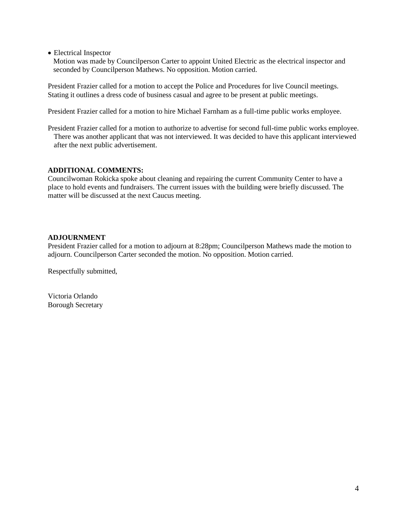• Electrical Inspector

 Motion was made by Councilperson Carter to appoint United Electric as the electrical inspector and seconded by Councilperson Mathews. No opposition. Motion carried.

President Frazier called for a motion to accept the Police and Procedures for live Council meetings. Stating it outlines a dress code of business casual and agree to be present at public meetings.

President Frazier called for a motion to hire Michael Farnham as a full-time public works employee.

President Frazier called for a motion to authorize to advertise for second full-time public works employee. There was another applicant that was not interviewed. It was decided to have this applicant interviewed after the next public advertisement.

## **ADDITIONAL COMMENTS:**

Councilwoman Rokicka spoke about cleaning and repairing the current Community Center to have a place to hold events and fundraisers. The current issues with the building were briefly discussed. The matter will be discussed at the next Caucus meeting.

## **ADJOURNMENT**

President Frazier called for a motion to adjourn at 8:28pm; Councilperson Mathews made the motion to adjourn. Councilperson Carter seconded the motion. No opposition. Motion carried.

Respectfully submitted,

Victoria Orlando Borough Secretary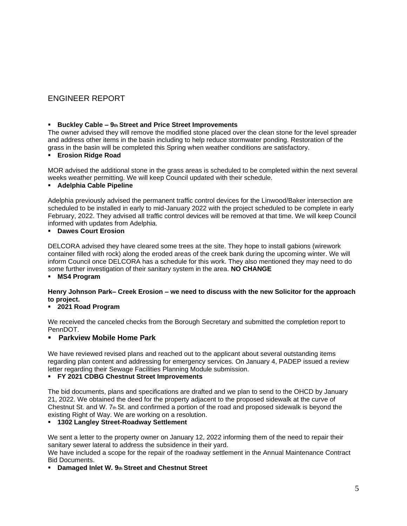# ENGINEER REPORT

#### ▪ **Buckley Cable – 9th Street and Price Street Improvements**

The owner advised they will remove the modified stone placed over the clean stone for the level spreader and address other items in the basin including to help reduce stormwater ponding. Restoration of the grass in the basin will be completed this Spring when weather conditions are satisfactory.

#### ▪ **Erosion Ridge Road**

MOR advised the additional stone in the grass areas is scheduled to be completed within the next several weeks weather permitting. We will keep Council updated with their schedule.

#### ▪ **Adelphia Cable Pipeline**

Adelphia previously advised the permanent traffic control devices for the Linwood/Baker intersection are scheduled to be installed in early to mid-January 2022 with the project scheduled to be complete in early February, 2022. They advised all traffic control devices will be removed at that time. We will keep Council informed with updates from Adelphia.

# ▪ **Dawes Court Erosion**

DELCORA advised they have cleared some trees at the site. They hope to install gabions (wirework container filled with rock) along the eroded areas of the creek bank during the upcoming winter. We will inform Council once DELCORA has a schedule for this work. They also mentioned they may need to do some further investigation of their sanitary system in the area. **NO CHANGE** 

▪ **MS4 Program** 

# **Henry Johnson Park– Creek Erosion – we need to discuss with the new Solicitor for the approach to project.**

## ▪ **2021 Road Program**

We received the canceled checks from the Borough Secretary and submitted the completion report to PennDOT.

## ▪ **Parkview Mobile Home Park**

We have reviewed revised plans and reached out to the applicant about several outstanding items regarding plan content and addressing for emergency services. On January 4, PADEP issued a review letter regarding their Sewage Facilities Planning Module submission.

#### ▪ **FY 2021 CDBG Chestnut Street Improvements**

The bid documents, plans and specifications are drafted and we plan to send to the OHCD by January 21, 2022. We obtained the deed for the property adjacent to the proposed sidewalk at the curve of Chestnut St. and W.  $7<sub>th</sub>$  St. and confirmed a portion of the road and proposed sidewalk is beyond the existing Right of Way. We are working on a resolution.

## ▪ **1302 Langley Street-Roadway Settlement**

We sent a letter to the property owner on January 12, 2022 informing them of the need to repair their sanitary sewer lateral to address the subsidence in their yard.

We have included a scope for the repair of the roadway settlement in the Annual Maintenance Contract Bid Documents.

## ▪ **Damaged Inlet W. 9th Street and Chestnut Street**